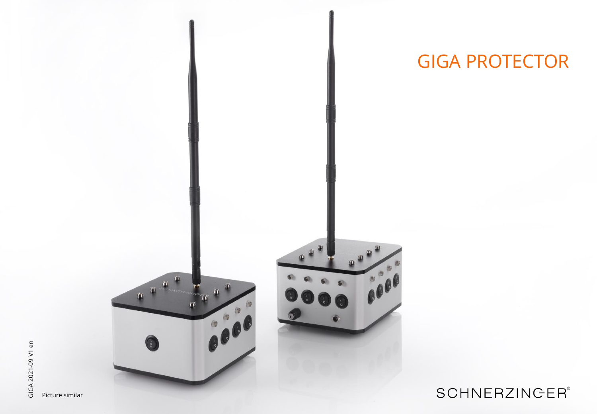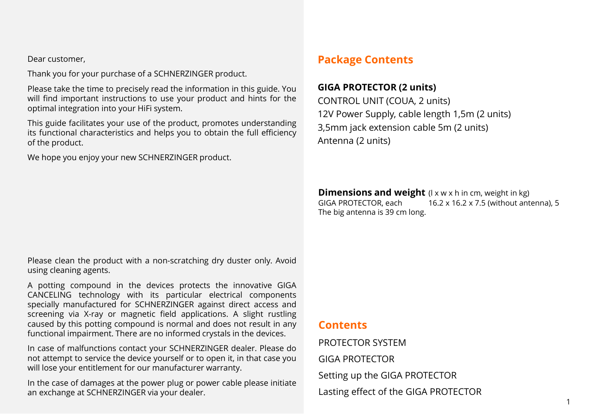Dear customer,

Thank you for your purchase of a SCHNERZINGER product.

Please take the time to precisely read the information in this guide. You will find important instructions to use your product and hints for the optimal integration into your HiFi system.

This guide facilitates your use of the product, promotes understanding its functional characteristics and helps you to obtain the full efficiency of the product.

We hope you enjoy your new SCHNERZINGER product.

# **Package Contents**

## **GIGA PROTECTOR (2 units)**

CONTROL UNIT (COUA, 2 units) 12V Power Supply, cable length 1,5m (2 units) 3,5mm jack extension cable 5m (2 units) Antenna (2 units)

**Dimensions and weight** (I x w x h in cm, weight in kg)<br>GIGA PROTECTOR, each 16.2 x 16.2 x 7.5 (without ant 16.2 x 16.2 x 7.5 (without antenna), 5 The big antenna is 39 cm long.

Please clean the product with a non-scratching dry duster only. Avoid using cleaning agents.

A potting compound in the devices protects the innovative GIGA CANCELING technology with its particular electrical components specially manufactured for SCHNERZINGER against direct access and screening via X-ray or magnetic field applications. A slight rustling caused by this potting compound is normal and does not result in any functional impairment. There are no informed crystals in the devices.

In case of malfunctions contact your SCHNERZINGER dealer. Please do not attempt to service the device yourself or to open it, in that case you will lose your entitlement for our manufacturer warranty.

In the case of damages at the power plug or power cable please initiate an exchange at SCHNERZINGER via your dealer.

## **Contents**

PROTECTOR SYSTEM GIGA PROTECTOR Setting up the GIGA PROTECTOR Lasting effect of the GIGA PROTECTOR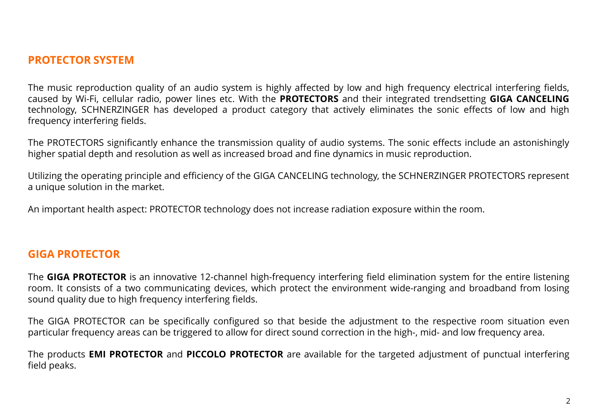## **PROTECTOR SYSTEM**

The music reproduction quality of an audio system is highly affected by low and high frequency electrical interfering fields, caused by Wi-Fi, cellular radio, power lines etc. With the **PROTECTORS** and their integrated trendsetting **GIGA CANCELING** technology, SCHNERZINGER has developed a product category that actively eliminates the sonic effects of low and high frequency interfering fields.

The PROTECTORS significantly enhance the transmission quality of audio systems. The sonic effects include an astonishingly higher spatial depth and resolution as well as increased broad and fine dynamics in music reproduction.

Utilizing the operating principle and efficiency of the GIGA CANCELING technology, the SCHNERZINGER PROTECTORS represent a unique solution in the market.

An important health aspect: PROTECTOR technology does not increase radiation exposure within the room.

## **GIGA PROTECTOR**

The **GIGA PROTECTOR** is an innovative 12-channel high-frequency interfering field elimination system for the entire listening room. It consists of a two communicating devices, which protect the environment wide-ranging and broadband from losing sound quality due to high frequency interfering fields.

The GIGA PROTECTOR can be specifically configured so that beside the adjustment to the respective room situation even particular frequency areas can be triggered to allow for direct sound correction in the high-, mid- and low frequency area.

The products **EMI PROTECTOR** and **PICCOLO PROTECTOR** are available for the targeted adjustment of punctual interfering field peaks.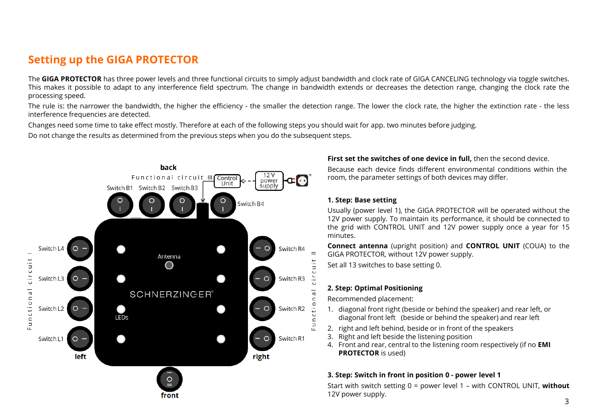# **Setting up the GIGA PROTECTOR**

The **GIGA PROTECTOR** has three power levels and three functional circuits to simply adjust bandwidth and clock rate of GIGA CANCELING technology via toggle switches. This makes it possible to adapt to any interference field spectrum. The change in bandwidth extends or decreases the detection range, changing the clock rate the processing speed.

The rule is: the narrower the bandwidth, the higher the efficiency - the smaller the detection range. The lower the clock rate, the higher the extinction rate - the less interference frequencies are detected.

Changes need some time to take effect mostly. Therefore at each of the following steps you should wait for app. two minutes before judging.

Do not change the results as determined from the previous steps when you do the subsequent steps.



#### **First set the switches of one device in full,** then the second device.

Because each device finds different environmental conditions within the room, the parameter settings of both devices may differ.

#### **1. Step: Base setting**

Usually (power level 1), the GIGA PROTECTOR will be operated without the 12V power supply. To maintain its performance, it should be connected to the grid with CONTROL UNIT and 12V power supply once a year for 15 minutes.

**Connect antenna** (upright position) and **CONTROL UNIT** (COUA) to the GIGA PROTECTOR, without 12V power supply.

Set all 13 switches to base setting 0.

### **2. Step: Optimal Positioning**

Recommended placement:

- 1. diagonal front right (beside or behind the speaker) and rear left, or diagonal front left (beside or behind the speaker) and rear left
- 2. right and left behind, beside or in front of the speakers
- 3. Right and left beside the listening position
- 4. Front and rear, central to the listening room respectively (if no **EMI PROTECTOR** is used)

### **3. Step: Switch in front in position 0 - power level 1**

Start with switch setting 0 = power level 1 – with CONTROL UNIT, **without** 12V power supply.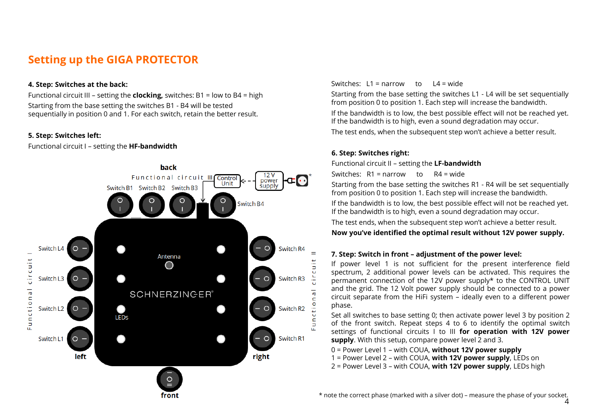# **Setting up the GIGA PROTECTOR**

#### **4. Step: Switches at the back:**

Functional circuit III – setting the **clocking,** switches: B1 = low to B4 = high Starting from the base setting the switches B1 - B4 will be tested sequentially in position 0 and 1. For each switch, retain the better result.

### **5. Step: Switches left:**

Functional circuit I – setting the **HF-bandwidth**



### Switches: L1 = narrow to L4 = wide

Starting from the base setting the switches L1 - L4 will be set sequentially from position 0 to position 1. Each step will increase the bandwidth. If the bandwidth is to low, the best possible effect will not be reached yet. If the bandwidth is to high, even a sound degradation may occur. The test ends, when the subsequent step won't achieve a better result.

### **6. Step: Switches right:**

Functional circuit II – setting the **LF-bandwidth**

Switches: R1 = narrow to R4 = wide

Starting from the base setting the switches R1 - R4 will be set sequentially from position 0 to position 1. Each step will increase the bandwidth.

If the bandwidth is to low, the best possible effect will not be reached yet. If the bandwidth is to high, even a sound degradation may occur.

The test ends, when the subsequent step won't achieve a better result.

### **Now you've identified the optimal result without 12V power supply.**

### **7. Step: Switch in front – adjustment of the power level:**

If power level 1 is not sufficient for the present interference field spectrum, 2 additional power levels can be activated. This requires the permanent connection of the 12V power supply\* to the CONTROL UNIT and the grid. The 12 Volt power supply should be connected to a power circuit separate from the HiFi system – ideally even to a different power phase.

Set all switches to base setting 0; then activate power level 3 by position 2 of the front switch. Repeat steps 4 to 6 to identify the optimal switch settings of functional circuits I to III **for operation with 12V power supply**. With this setup, compare power level 2 and 3.

0 = Power Level 1 – with COUA, **without 12V power supply**

1 = Power Level 2 – with COUA, **with 12V power supply**, LEDs on

2 = Power Level 3 – with COUA, **with 12V power supply**, LEDs high